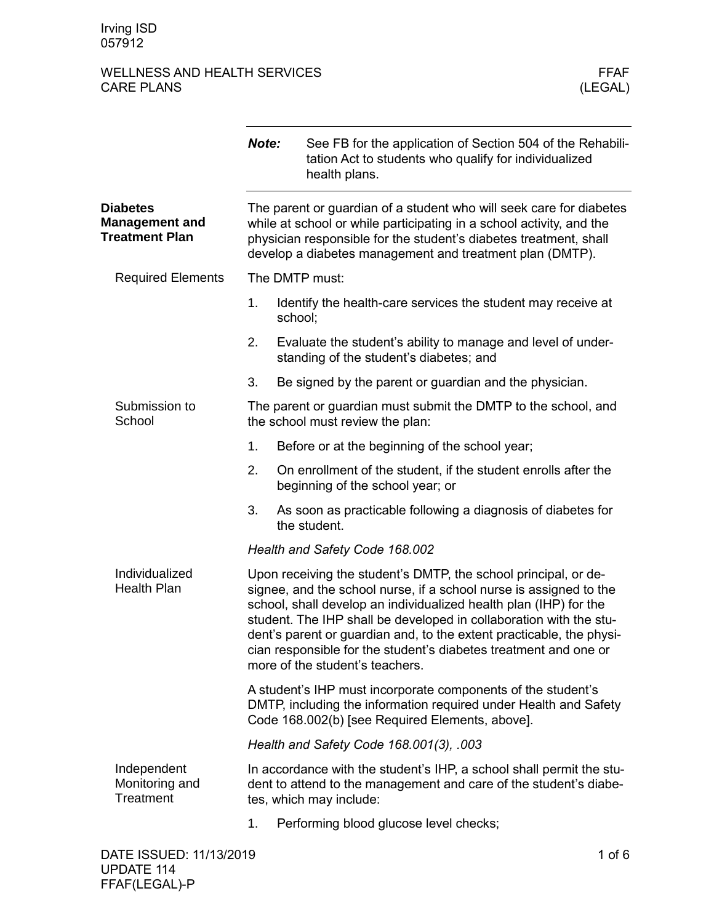# WELLNESS AND HEALTH SERVICES WELLNESS AND HEALTH SERVICES FEAR FEAR FEAR (LEGAL) CARE PLANS

|                                                                   | Note:                                                                                                                                                                                                                                                                        |                                         | See FB for the application of Section 504 of the Rehabili-<br>tation Act to students who qualify for individualized<br>health plans.                                                                                                                                                                                                                                                                                                                            |          |  |
|-------------------------------------------------------------------|------------------------------------------------------------------------------------------------------------------------------------------------------------------------------------------------------------------------------------------------------------------------------|-----------------------------------------|-----------------------------------------------------------------------------------------------------------------------------------------------------------------------------------------------------------------------------------------------------------------------------------------------------------------------------------------------------------------------------------------------------------------------------------------------------------------|----------|--|
| <b>Diabetes</b><br><b>Management and</b><br><b>Treatment Plan</b> | The parent or guardian of a student who will seek care for diabetes<br>while at school or while participating in a school activity, and the<br>physician responsible for the student's diabetes treatment, shall<br>develop a diabetes management and treatment plan (DMTP). |                                         |                                                                                                                                                                                                                                                                                                                                                                                                                                                                 |          |  |
| <b>Required Elements</b>                                          | The DMTP must:                                                                                                                                                                                                                                                               |                                         |                                                                                                                                                                                                                                                                                                                                                                                                                                                                 |          |  |
|                                                                   | 1.                                                                                                                                                                                                                                                                           | school;                                 | Identify the health-care services the student may receive at                                                                                                                                                                                                                                                                                                                                                                                                    |          |  |
|                                                                   | 2.                                                                                                                                                                                                                                                                           |                                         | Evaluate the student's ability to manage and level of under-<br>standing of the student's diabetes; and                                                                                                                                                                                                                                                                                                                                                         |          |  |
|                                                                   | 3.                                                                                                                                                                                                                                                                           |                                         | Be signed by the parent or guardian and the physician.                                                                                                                                                                                                                                                                                                                                                                                                          |          |  |
| Submission to<br>School                                           |                                                                                                                                                                                                                                                                              |                                         | The parent or guardian must submit the DMTP to the school, and<br>the school must review the plan:                                                                                                                                                                                                                                                                                                                                                              |          |  |
|                                                                   | 1.                                                                                                                                                                                                                                                                           |                                         | Before or at the beginning of the school year;                                                                                                                                                                                                                                                                                                                                                                                                                  |          |  |
|                                                                   | 2.                                                                                                                                                                                                                                                                           |                                         | On enrollment of the student, if the student enrolls after the<br>beginning of the school year; or                                                                                                                                                                                                                                                                                                                                                              |          |  |
|                                                                   | 3.                                                                                                                                                                                                                                                                           |                                         | As soon as practicable following a diagnosis of diabetes for<br>the student.                                                                                                                                                                                                                                                                                                                                                                                    |          |  |
|                                                                   |                                                                                                                                                                                                                                                                              |                                         | Health and Safety Code 168.002                                                                                                                                                                                                                                                                                                                                                                                                                                  |          |  |
| Individualized<br><b>Health Plan</b>                              |                                                                                                                                                                                                                                                                              |                                         | Upon receiving the student's DMTP, the school principal, or de-<br>signee, and the school nurse, if a school nurse is assigned to the<br>school, shall develop an individualized health plan (IHP) for the<br>student. The IHP shall be developed in collaboration with the stu-<br>dent's parent or guardian and, to the extent practicable, the physi-<br>cian responsible for the student's diabetes treatment and one or<br>more of the student's teachers. |          |  |
|                                                                   | A student's IHP must incorporate components of the student's<br>DMTP, including the information required under Health and Safety<br>Code 168.002(b) [see Required Elements, above].                                                                                          |                                         |                                                                                                                                                                                                                                                                                                                                                                                                                                                                 |          |  |
|                                                                   |                                                                                                                                                                                                                                                                              | Health and Safety Code 168.001(3), .003 |                                                                                                                                                                                                                                                                                                                                                                                                                                                                 |          |  |
| Independent<br>Monitoring and<br>Treatment                        |                                                                                                                                                                                                                                                                              |                                         | In accordance with the student's IHP, a school shall permit the stu-<br>dent to attend to the management and care of the student's diabe-<br>tes, which may include:                                                                                                                                                                                                                                                                                            |          |  |
|                                                                   | 1.                                                                                                                                                                                                                                                                           |                                         | Performing blood glucose level checks;                                                                                                                                                                                                                                                                                                                                                                                                                          |          |  |
| DATE ISSUED: 11/13/2019                                           |                                                                                                                                                                                                                                                                              |                                         |                                                                                                                                                                                                                                                                                                                                                                                                                                                                 | 1 of $6$ |  |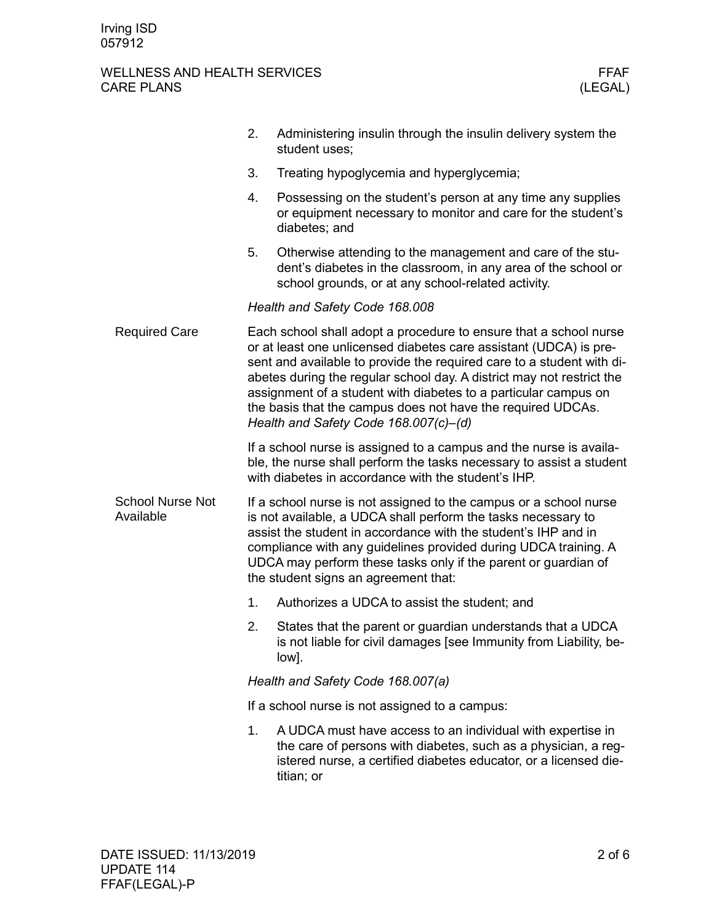## WELLNESS AND HEALTH SERVICES WELLNESS AND HEALTH SERVICES FEAR FEAR FEAR (LEGAL) CARE PLANS

|                                      | 2.                                                                                                                                                                                                                                                                                                                                                                                                                                                                  | Administering insulin through the insulin delivery system the<br>student uses;                                                                                                                                 |  |  |
|--------------------------------------|---------------------------------------------------------------------------------------------------------------------------------------------------------------------------------------------------------------------------------------------------------------------------------------------------------------------------------------------------------------------------------------------------------------------------------------------------------------------|----------------------------------------------------------------------------------------------------------------------------------------------------------------------------------------------------------------|--|--|
|                                      | 3.                                                                                                                                                                                                                                                                                                                                                                                                                                                                  | Treating hypoglycemia and hyperglycemia;                                                                                                                                                                       |  |  |
|                                      | 4.                                                                                                                                                                                                                                                                                                                                                                                                                                                                  | Possessing on the student's person at any time any supplies<br>or equipment necessary to monitor and care for the student's<br>diabetes; and                                                                   |  |  |
|                                      | 5.                                                                                                                                                                                                                                                                                                                                                                                                                                                                  | Otherwise attending to the management and care of the stu-<br>dent's diabetes in the classroom, in any area of the school or<br>school grounds, or at any school-related activity.                             |  |  |
|                                      | Health and Safety Code 168.008                                                                                                                                                                                                                                                                                                                                                                                                                                      |                                                                                                                                                                                                                |  |  |
| <b>Required Care</b>                 | Each school shall adopt a procedure to ensure that a school nurse<br>or at least one unlicensed diabetes care assistant (UDCA) is pre-<br>sent and available to provide the required care to a student with di-<br>abetes during the regular school day. A district may not restrict the<br>assignment of a student with diabetes to a particular campus on<br>the basis that the campus does not have the required UDCAs.<br>Health and Safety Code 168.007(c)-(d) |                                                                                                                                                                                                                |  |  |
|                                      |                                                                                                                                                                                                                                                                                                                                                                                                                                                                     | If a school nurse is assigned to a campus and the nurse is availa-<br>ble, the nurse shall perform the tasks necessary to assist a student<br>with diabetes in accordance with the student's IHP.              |  |  |
| <b>School Nurse Not</b><br>Available | If a school nurse is not assigned to the campus or a school nurse<br>is not available, a UDCA shall perform the tasks necessary to<br>assist the student in accordance with the student's IHP and in<br>compliance with any guidelines provided during UDCA training. A<br>UDCA may perform these tasks only if the parent or guardian of<br>the student signs an agreement that:                                                                                   |                                                                                                                                                                                                                |  |  |
|                                      | 1.                                                                                                                                                                                                                                                                                                                                                                                                                                                                  | Authorizes a UDCA to assist the student; and                                                                                                                                                                   |  |  |
|                                      | 2.                                                                                                                                                                                                                                                                                                                                                                                                                                                                  | States that the parent or guardian understands that a UDCA<br>is not liable for civil damages [see Immunity from Liability, be-<br>low].                                                                       |  |  |
|                                      |                                                                                                                                                                                                                                                                                                                                                                                                                                                                     | Health and Safety Code 168.007(a)                                                                                                                                                                              |  |  |
|                                      |                                                                                                                                                                                                                                                                                                                                                                                                                                                                     | If a school nurse is not assigned to a campus:                                                                                                                                                                 |  |  |
|                                      | 1.                                                                                                                                                                                                                                                                                                                                                                                                                                                                  | A UDCA must have access to an individual with expertise in<br>the care of persons with diabetes, such as a physician, a reg-<br>istered nurse, a certified diabetes educator, or a licensed die-<br>titian; or |  |  |
|                                      |                                                                                                                                                                                                                                                                                                                                                                                                                                                                     |                                                                                                                                                                                                                |  |  |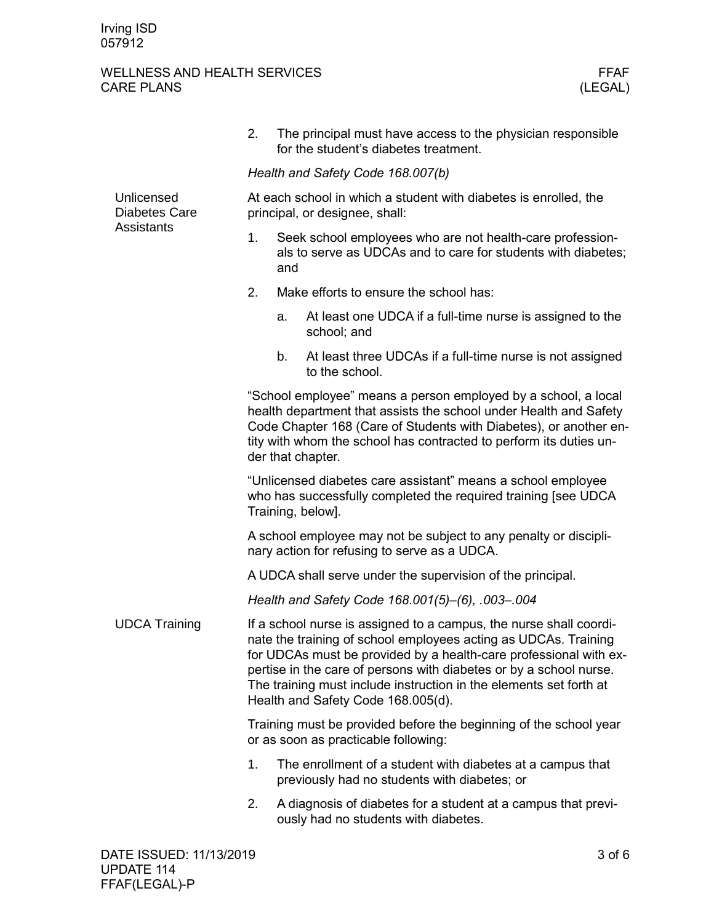#### WELLNESS AND HEALTH SERVICES<br>CARE PLANS (LEGAL) CARE PLANS

|                                                  | 2.                                                                                                                                                                                                                                                                                                                                                                                           |                                                                                                                                   | The principal must have access to the physician responsible<br>for the student's diabetes treatment.       |  |  |  |
|--------------------------------------------------|----------------------------------------------------------------------------------------------------------------------------------------------------------------------------------------------------------------------------------------------------------------------------------------------------------------------------------------------------------------------------------------------|-----------------------------------------------------------------------------------------------------------------------------------|------------------------------------------------------------------------------------------------------------|--|--|--|
|                                                  |                                                                                                                                                                                                                                                                                                                                                                                              |                                                                                                                                   | Health and Safety Code 168.007(b)                                                                          |  |  |  |
| Unlicensed<br><b>Diabetes Care</b><br>Assistants | At each school in which a student with diabetes is enrolled, the<br>principal, or designee, shall:                                                                                                                                                                                                                                                                                           |                                                                                                                                   |                                                                                                            |  |  |  |
|                                                  | 1.                                                                                                                                                                                                                                                                                                                                                                                           | Seek school employees who are not health-care profession-<br>als to serve as UDCAs and to care for students with diabetes;<br>and |                                                                                                            |  |  |  |
|                                                  | 2.                                                                                                                                                                                                                                                                                                                                                                                           |                                                                                                                                   | Make efforts to ensure the school has:                                                                     |  |  |  |
|                                                  |                                                                                                                                                                                                                                                                                                                                                                                              | а.                                                                                                                                | At least one UDCA if a full-time nurse is assigned to the<br>school; and                                   |  |  |  |
|                                                  |                                                                                                                                                                                                                                                                                                                                                                                              | b.                                                                                                                                | At least three UDCAs if a full-time nurse is not assigned<br>to the school.                                |  |  |  |
|                                                  | "School employee" means a person employed by a school, a local<br>health department that assists the school under Health and Safety<br>Code Chapter 168 (Care of Students with Diabetes), or another en-<br>tity with whom the school has contracted to perform its duties un-<br>der that chapter.                                                                                          |                                                                                                                                   |                                                                                                            |  |  |  |
|                                                  | "Unlicensed diabetes care assistant" means a school employee<br>who has successfully completed the required training [see UDCA<br>Training, below].                                                                                                                                                                                                                                          |                                                                                                                                   |                                                                                                            |  |  |  |
|                                                  | A school employee may not be subject to any penalty or discipli-<br>nary action for refusing to serve as a UDCA.                                                                                                                                                                                                                                                                             |                                                                                                                                   |                                                                                                            |  |  |  |
|                                                  | A UDCA shall serve under the supervision of the principal.                                                                                                                                                                                                                                                                                                                                   |                                                                                                                                   |                                                                                                            |  |  |  |
|                                                  | Health and Safety Code 168.001(5)-(6), .003-.004                                                                                                                                                                                                                                                                                                                                             |                                                                                                                                   |                                                                                                            |  |  |  |
| <b>UDCA Training</b>                             | If a school nurse is assigned to a campus, the nurse shall coordi-<br>nate the training of school employees acting as UDCAs. Training<br>for UDCAs must be provided by a health-care professional with ex-<br>pertise in the care of persons with diabetes or by a school nurse.<br>The training must include instruction in the elements set forth at<br>Health and Safety Code 168.005(d). |                                                                                                                                   |                                                                                                            |  |  |  |
|                                                  | Training must be provided before the beginning of the school year<br>or as soon as practicable following:                                                                                                                                                                                                                                                                                    |                                                                                                                                   |                                                                                                            |  |  |  |
|                                                  | 1.                                                                                                                                                                                                                                                                                                                                                                                           |                                                                                                                                   | The enrollment of a student with diabetes at a campus that<br>previously had no students with diabetes; or |  |  |  |
|                                                  | 2.                                                                                                                                                                                                                                                                                                                                                                                           |                                                                                                                                   | A diagnosis of diabetes for a student at a campus that previ-<br>ously had no students with diabetes.      |  |  |  |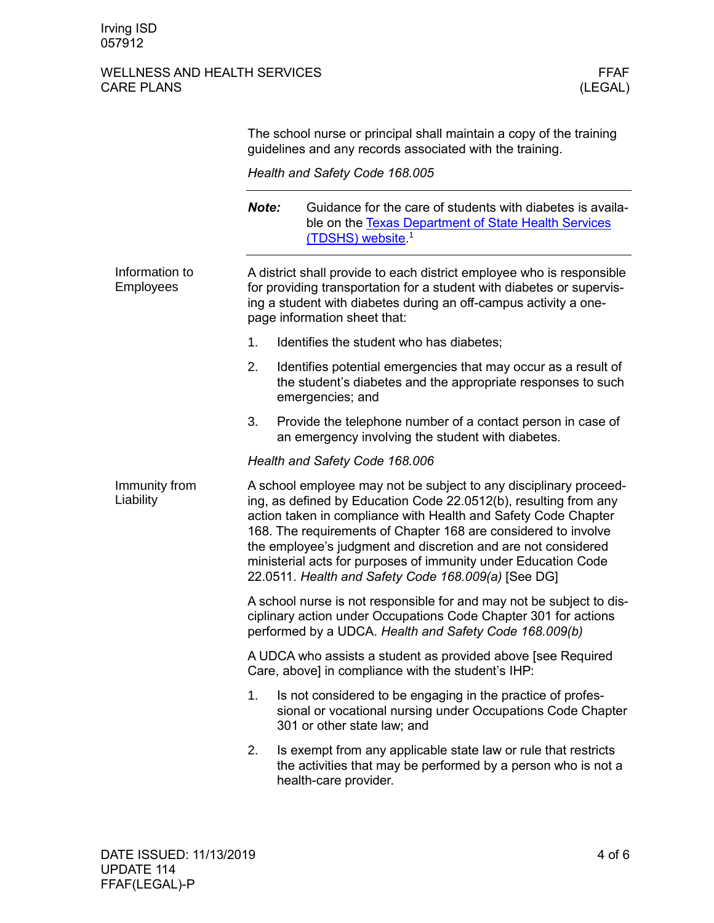## WELLNESS AND HEALTH SERVICES WELLNESS AND HEALTH SERVICES FEAR FEAR FEAR (LEGAL) CARE PLANS

|                                    | The school nurse or principal shall maintain a copy of the training<br>guidelines and any records associated with the training.                                                                                                                                                                                                                                                                                                                                     |                                                                                                                                                           |  |  |  |
|------------------------------------|---------------------------------------------------------------------------------------------------------------------------------------------------------------------------------------------------------------------------------------------------------------------------------------------------------------------------------------------------------------------------------------------------------------------------------------------------------------------|-----------------------------------------------------------------------------------------------------------------------------------------------------------|--|--|--|
|                                    | Health and Safety Code 168.005                                                                                                                                                                                                                                                                                                                                                                                                                                      |                                                                                                                                                           |  |  |  |
|                                    | Note:                                                                                                                                                                                                                                                                                                                                                                                                                                                               | Guidance for the care of students with diabetes is availa-<br>ble on the Texas Department of State Health Services<br>(TDSHS) website <sup>1</sup>        |  |  |  |
| Information to<br><b>Employees</b> | A district shall provide to each district employee who is responsible<br>for providing transportation for a student with diabetes or supervis-<br>ing a student with diabetes during an off-campus activity a one-<br>page information sheet that:                                                                                                                                                                                                                  |                                                                                                                                                           |  |  |  |
|                                    | 1.                                                                                                                                                                                                                                                                                                                                                                                                                                                                  | Identifies the student who has diabetes;                                                                                                                  |  |  |  |
|                                    | 2.                                                                                                                                                                                                                                                                                                                                                                                                                                                                  | Identifies potential emergencies that may occur as a result of<br>the student's diabetes and the appropriate responses to such<br>emergencies; and        |  |  |  |
|                                    | 3.                                                                                                                                                                                                                                                                                                                                                                                                                                                                  | Provide the telephone number of a contact person in case of<br>an emergency involving the student with diabetes.                                          |  |  |  |
|                                    | Health and Safety Code 168.006                                                                                                                                                                                                                                                                                                                                                                                                                                      |                                                                                                                                                           |  |  |  |
| Immunity from<br>Liability         | A school employee may not be subject to any disciplinary proceed-<br>ing, as defined by Education Code 22.0512(b), resulting from any<br>action taken in compliance with Health and Safety Code Chapter<br>168. The requirements of Chapter 168 are considered to involve<br>the employee's judgment and discretion and are not considered<br>ministerial acts for purposes of immunity under Education Code<br>22.0511. Health and Safety Code 168.009(a) [See DG] |                                                                                                                                                           |  |  |  |
|                                    | A school nurse is not responsible for and may not be subject to dis-<br>ciplinary action under Occupations Code Chapter 301 for actions<br>performed by a UDCA. Health and Safety Code 168.009(b)                                                                                                                                                                                                                                                                   |                                                                                                                                                           |  |  |  |
|                                    | A UDCA who assists a student as provided above [see Required<br>Care, above] in compliance with the student's IHP:                                                                                                                                                                                                                                                                                                                                                  |                                                                                                                                                           |  |  |  |
|                                    | 1.                                                                                                                                                                                                                                                                                                                                                                                                                                                                  | Is not considered to be engaging in the practice of profes-<br>sional or vocational nursing under Occupations Code Chapter<br>301 or other state law; and |  |  |  |
|                                    | 2.                                                                                                                                                                                                                                                                                                                                                                                                                                                                  | Is exempt from any applicable state law or rule that restricts<br>the activities that may be performed by a person who is not a<br>health-care provider.  |  |  |  |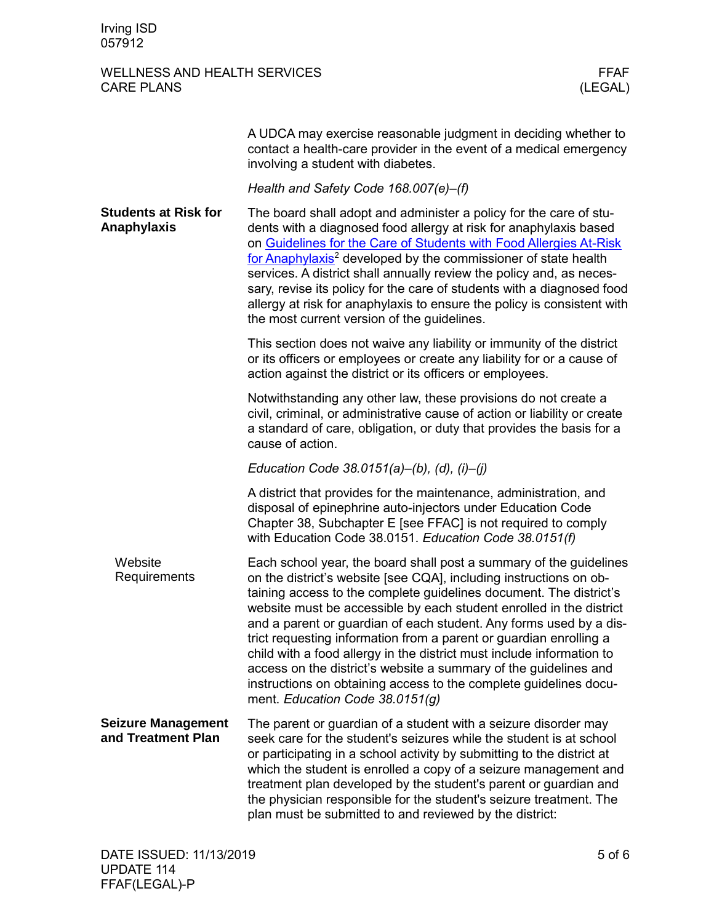#### WELLNESS AND HEALTH SERVICES<br>CARE PLANS (LEGAL) CARE PLANS

|                                                 | A UDCA may exercise reasonable judgment in deciding whether to<br>contact a health-care provider in the event of a medical emergency<br>involving a student with diabetes.                                                                                                                                                                                                                                                                                                                                                                                                                                                                                                             |
|-------------------------------------------------|----------------------------------------------------------------------------------------------------------------------------------------------------------------------------------------------------------------------------------------------------------------------------------------------------------------------------------------------------------------------------------------------------------------------------------------------------------------------------------------------------------------------------------------------------------------------------------------------------------------------------------------------------------------------------------------|
|                                                 | Health and Safety Code 168.007(e)-(f)                                                                                                                                                                                                                                                                                                                                                                                                                                                                                                                                                                                                                                                  |
| <b>Students at Risk for</b><br>Anaphylaxis      | The board shall adopt and administer a policy for the care of stu-<br>dents with a diagnosed food allergy at risk for anaphylaxis based<br>on Guidelines for the Care of Students with Food Allergies At-Risk<br>for Anaphylaxis <sup>2</sup> developed by the commissioner of state health<br>services. A district shall annually review the policy and, as neces-<br>sary, revise its policy for the care of students with a diagnosed food<br>allergy at risk for anaphylaxis to ensure the policy is consistent with<br>the most current version of the guidelines.                                                                                                                |
|                                                 | This section does not waive any liability or immunity of the district<br>or its officers or employees or create any liability for or a cause of<br>action against the district or its officers or employees.                                                                                                                                                                                                                                                                                                                                                                                                                                                                           |
|                                                 | Notwithstanding any other law, these provisions do not create a<br>civil, criminal, or administrative cause of action or liability or create<br>a standard of care, obligation, or duty that provides the basis for a<br>cause of action.                                                                                                                                                                                                                                                                                                                                                                                                                                              |
|                                                 | Education Code 38.0151(a)–(b), (d), (i)–(j)                                                                                                                                                                                                                                                                                                                                                                                                                                                                                                                                                                                                                                            |
|                                                 | A district that provides for the maintenance, administration, and<br>disposal of epinephrine auto-injectors under Education Code<br>Chapter 38, Subchapter E [see FFAC] is not required to comply<br>with Education Code 38.0151. Education Code 38.0151(f)                                                                                                                                                                                                                                                                                                                                                                                                                            |
| Website<br>Requirements                         | Each school year, the board shall post a summary of the guidelines<br>on the district's website [see CQA], including instructions on ob-<br>taining access to the complete guidelines document. The district's<br>website must be accessible by each student enrolled in the district<br>and a parent or guardian of each student. Any forms used by a dis-<br>trict requesting information from a parent or guardian enrolling a<br>child with a food allergy in the district must include information to<br>access on the district's website a summary of the guidelines and<br>instructions on obtaining access to the complete guidelines docu-<br>ment. Education Code 38.0151(g) |
| <b>Seizure Management</b><br>and Treatment Plan | The parent or guardian of a student with a seizure disorder may<br>seek care for the student's seizures while the student is at school<br>or participating in a school activity by submitting to the district at<br>which the student is enrolled a copy of a seizure management and<br>treatment plan developed by the student's parent or guardian and<br>the physician responsible for the student's seizure treatment. The<br>plan must be submitted to and reviewed by the district:                                                                                                                                                                                              |